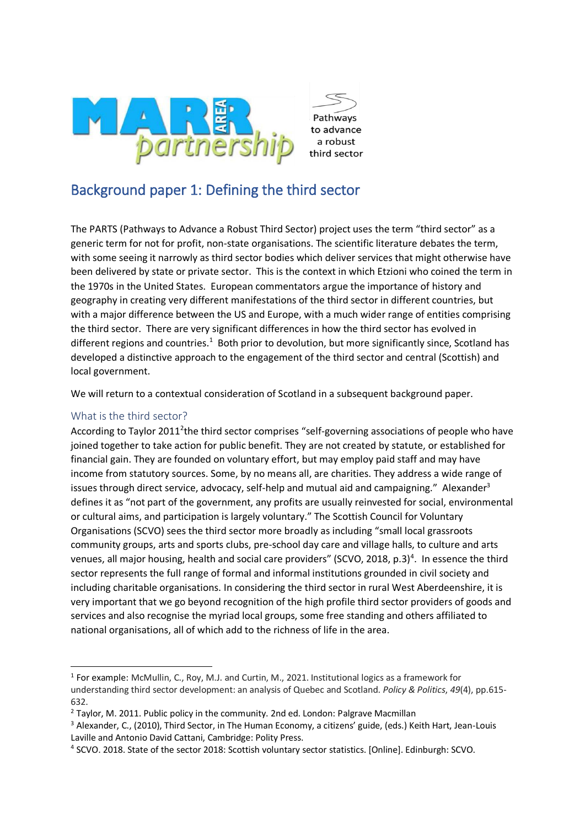

# Background paper 1: Defining the third sector

The PARTS (Pathways to Advance a Robust Third Sector) project uses the term "third sector" as a generic term for not for profit, non-state organisations. The scientific literature debates the term, with some seeing it narrowly as third sector bodies which deliver services that might otherwise have been delivered by state or private sector. This is the context in which Etzioni who coined the term in the 1970s in the United States. European commentators argue the importance of history and geography in creating very different manifestations of the third sector in different countries, but with a major difference between the US and Europe, with a much wider range of entities comprising the third sector. There are very significant differences in how the third sector has evolved in different regions and countries.<sup>1</sup> Both prior to devolution, but more significantly since, Scotland has developed a distinctive approach to the engagement of the third sector and central (Scottish) and local government.

We will return to a contextual consideration of Scotland in a subsequent background paper.

## What is the third sector?

According to Taylor 2011<sup>2</sup>the third sector comprises "self-governing associations of people who have joined together to take action for public benefit. They are not created by statute, or established for financial gain. They are founded on voluntary effort, but may employ paid staff and may have income from statutory sources. Some, by no means all, are charities. They address a wide range of issues through direct service, advocacy, self-help and mutual aid and campaigning." Alexander<sup>3</sup> defines it as "not part of the government, any profits are usually reinvested for social, environmental or cultural aims, and participation is largely voluntary." The Scottish Council for Voluntary Organisations (SCVO) sees the third sector more broadly as including "small local grassroots community groups, arts and sports clubs, pre-school day care and village halls, to culture and arts venues, all major housing, health and social care providers" (SCVO, 2018, p.3)<sup>4</sup>. In essence the third sector represents the full range of formal and informal institutions grounded in civil society and including charitable organisations. In considering the third sector in rural West Aberdeenshire, it is very important that we go beyond recognition of the high profile third sector providers of goods and services and also recognise the myriad local groups, some free standing and others affiliated to national organisations, all of which add to the richness of life in the area.

<sup>&</sup>lt;sup>1</sup> For example: McMullin, C., Roy, M.J. and Curtin, M., 2021. Institutional logics as a framework for understanding third sector development: an analysis of Quebec and Scotland. *Policy & Politics*, *49*(4), pp.615- 632.

<sup>&</sup>lt;sup>2</sup> Taylor, M. 2011. Public policy in the community. 2nd ed. London: Palgrave Macmillan

<sup>3</sup> Alexander, C., (2010), Third Sector, in The Human Economy, a citizens' guide, (eds.) Keith Hart, Jean-Louis Laville and Antonio David Cattani, Cambridge: Polity Press.

<sup>4</sup> SCVO. 2018. State of the sector 2018: Scottish voluntary sector statistics. [Online]. Edinburgh: SCVO.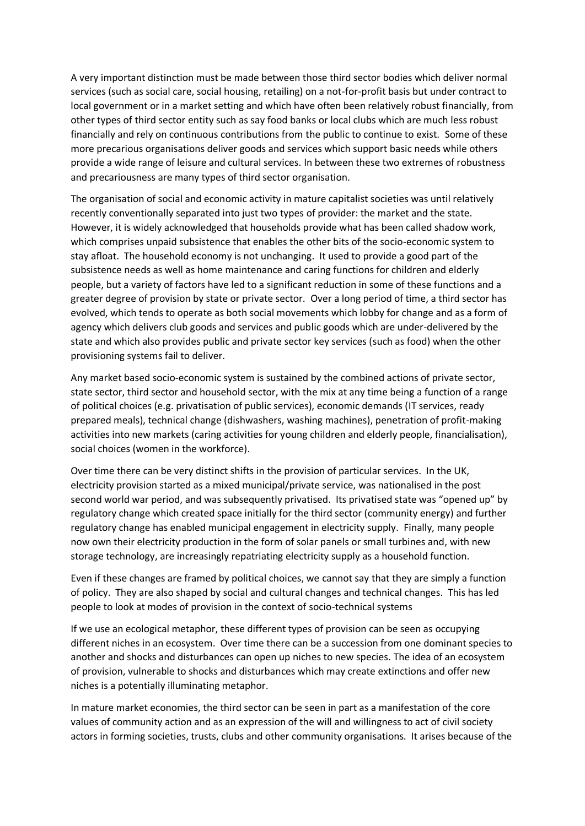A very important distinction must be made between those third sector bodies which deliver normal services (such as social care, social housing, retailing) on a not-for-profit basis but under contract to local government or in a market setting and which have often been relatively robust financially, from other types of third sector entity such as say food banks or local clubs which are much less robust financially and rely on continuous contributions from the public to continue to exist. Some of these more precarious organisations deliver goods and services which support basic needs while others provide a wide range of leisure and cultural services. In between these two extremes of robustness and precariousness are many types of third sector organisation.

The organisation of social and economic activity in mature capitalist societies was until relatively recently conventionally separated into just two types of provider: the market and the state. However, it is widely acknowledged that households provide what has been called shadow work, which comprises unpaid subsistence that enables the other bits of the socio-economic system to stay afloat. The household economy is not unchanging. It used to provide a good part of the subsistence needs as well as home maintenance and caring functions for children and elderly people, but a variety of factors have led to a significant reduction in some of these functions and a greater degree of provision by state or private sector. Over a long period of time, a third sector has evolved, which tends to operate as both social movements which lobby for change and as a form of agency which delivers club goods and services and public goods which are under-delivered by the state and which also provides public and private sector key services (such as food) when the other provisioning systems fail to deliver.

Any market based socio-economic system is sustained by the combined actions of private sector, state sector, third sector and household sector, with the mix at any time being a function of a range of political choices (e.g. privatisation of public services), economic demands (IT services, ready prepared meals), technical change (dishwashers, washing machines), penetration of profit-making activities into new markets (caring activities for young children and elderly people, financialisation), social choices (women in the workforce).

Over time there can be very distinct shifts in the provision of particular services. In the UK, electricity provision started as a mixed municipal/private service, was nationalised in the post second world war period, and was subsequently privatised. Its privatised state was "opened up" by regulatory change which created space initially for the third sector (community energy) and further regulatory change has enabled municipal engagement in electricity supply. Finally, many people now own their electricity production in the form of solar panels or small turbines and, with new storage technology, are increasingly repatriating electricity supply as a household function.

Even if these changes are framed by political choices, we cannot say that they are simply a function of policy. They are also shaped by social and cultural changes and technical changes. This has led people to look at modes of provision in the context of socio-technical systems

If we use an ecological metaphor, these different types of provision can be seen as occupying different niches in an ecosystem. Over time there can be a succession from one dominant species to another and shocks and disturbances can open up niches to new species. The idea of an ecosystem of provision, vulnerable to shocks and disturbances which may create extinctions and offer new niches is a potentially illuminating metaphor.

In mature market economies, the third sector can be seen in part as a manifestation of the core values of community action and as an expression of the will and willingness to act of civil society actors in forming societies, trusts, clubs and other community organisations. It arises because of the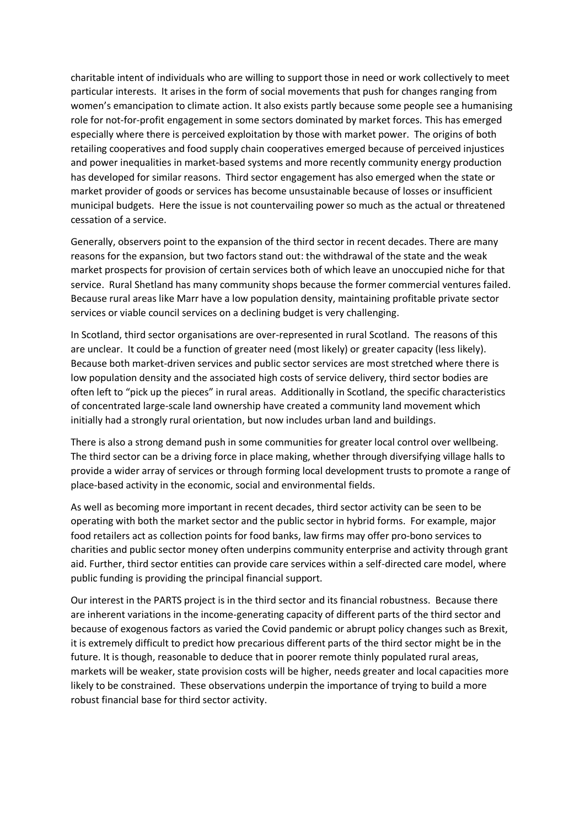charitable intent of individuals who are willing to support those in need or work collectively to meet particular interests. It arises in the form of social movements that push for changes ranging from women's emancipation to climate action. It also exists partly because some people see a humanising role for not-for-profit engagement in some sectors dominated by market forces. This has emerged especially where there is perceived exploitation by those with market power. The origins of both retailing cooperatives and food supply chain cooperatives emerged because of perceived injustices and power inequalities in market-based systems and more recently community energy production has developed for similar reasons. Third sector engagement has also emerged when the state or market provider of goods or services has become unsustainable because of losses or insufficient municipal budgets. Here the issue is not countervailing power so much as the actual or threatened cessation of a service.

Generally, observers point to the expansion of the third sector in recent decades. There are many reasons for the expansion, but two factors stand out: the withdrawal of the state and the weak market prospects for provision of certain services both of which leave an unoccupied niche for that service. Rural Shetland has many community shops because the former commercial ventures failed. Because rural areas like Marr have a low population density, maintaining profitable private sector services or viable council services on a declining budget is very challenging.

In Scotland, third sector organisations are over-represented in rural Scotland. The reasons of this are unclear. It could be a function of greater need (most likely) or greater capacity (less likely). Because both market-driven services and public sector services are most stretched where there is low population density and the associated high costs of service delivery, third sector bodies are often left to "pick up the pieces" in rural areas. Additionally in Scotland, the specific characteristics of concentrated large-scale land ownership have created a community land movement which initially had a strongly rural orientation, but now includes urban land and buildings.

There is also a strong demand push in some communities for greater local control over wellbeing. The third sector can be a driving force in place making, whether through diversifying village halls to provide a wider array of services or through forming local development trusts to promote a range of place-based activity in the economic, social and environmental fields.

As well as becoming more important in recent decades, third sector activity can be seen to be operating with both the market sector and the public sector in hybrid forms. For example, major food retailers act as collection points for food banks, law firms may offer pro-bono services to charities and public sector money often underpins community enterprise and activity through grant aid. Further, third sector entities can provide care services within a self-directed care model, where public funding is providing the principal financial support.

Our interest in the PARTS project is in the third sector and its financial robustness. Because there are inherent variations in the income-generating capacity of different parts of the third sector and because of exogenous factors as varied the Covid pandemic or abrupt policy changes such as Brexit, it is extremely difficult to predict how precarious different parts of the third sector might be in the future. It is though, reasonable to deduce that in poorer remote thinly populated rural areas, markets will be weaker, state provision costs will be higher, needs greater and local capacities more likely to be constrained. These observations underpin the importance of trying to build a more robust financial base for third sector activity.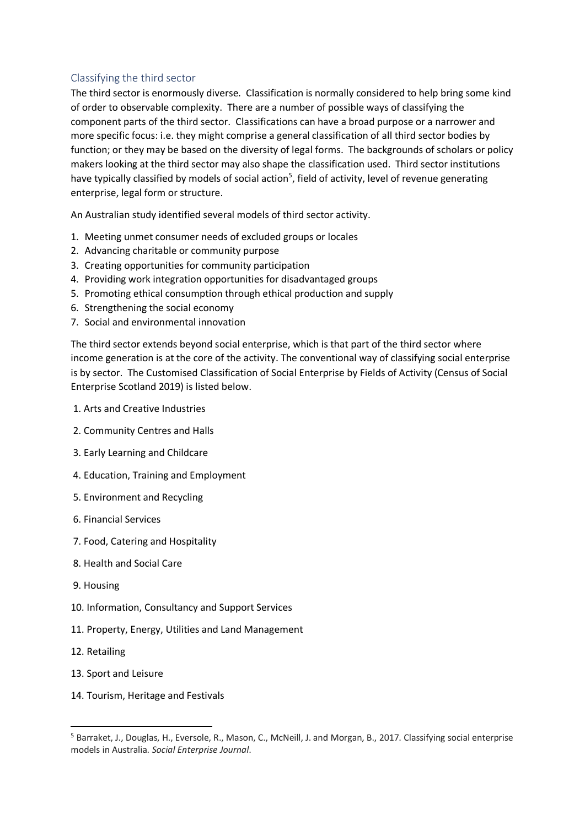## Classifying the third sector

The third sector is enormously diverse. Classification is normally considered to help bring some kind of order to observable complexity. There are a number of possible ways of classifying the component parts of the third sector. Classifications can have a broad purpose or a narrower and more specific focus: i.e. they might comprise a general classification of all third sector bodies by function; or they may be based on the diversity of legal forms. The backgrounds of scholars or policy makers looking at the third sector may also shape the classification used. Third sector institutions have typically classified by models of social action<sup>5</sup>, field of activity, level of revenue generating enterprise, legal form or structure.

An Australian study identified several models of third sector activity.

- 1. Meeting unmet consumer needs of excluded groups or locales
- 2. Advancing charitable or community purpose
- 3. Creating opportunities for community participation
- 4. Providing work integration opportunities for disadvantaged groups
- 5. Promoting ethical consumption through ethical production and supply
- 6. Strengthening the social economy
- 7. Social and environmental innovation

The third sector extends beyond social enterprise, which is that part of the third sector where income generation is at the core of the activity. The conventional way of classifying social enterprise is by sector. The Customised Classification of Social Enterprise by Fields of Activity (Census of Social Enterprise Scotland 2019) is listed below.

- 1. Arts and Creative Industries
- 2. Community Centres and Halls
- 3. Early Learning and Childcare
- 4. Education, Training and Employment
- 5. Environment and Recycling
- 6. Financial Services
- 7. Food, Catering and Hospitality
- 8. Health and Social Care
- 9. Housing
- 10. Information, Consultancy and Support Services
- 11. Property, Energy, Utilities and Land Management
- 12. Retailing
- 13. Sport and Leisure
- 14. Tourism, Heritage and Festivals

<sup>5</sup> Barraket, J., Douglas, H., Eversole, R., Mason, C., McNeill, J. and Morgan, B., 2017. Classifying social enterprise models in Australia. *Social Enterprise Journal*.